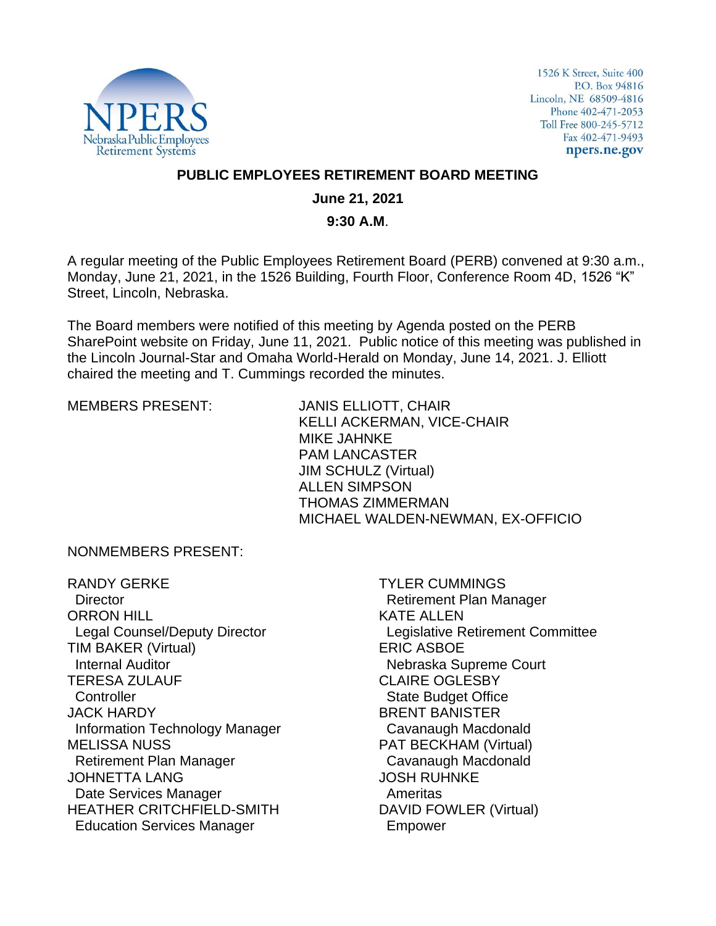

1526 K Street, Suite 400 P.O. Box 94816 Lincoln, NE 68509-4816 Phone 402-471-2053 Toll Free 800-245-5712 Fax 402-471-9493 npers.ne.gov

#### **PUBLIC EMPLOYEES RETIREMENT BOARD MEETING**

#### **June 21, 2021**

#### **9:30 A.M**.

A regular meeting of the Public Employees Retirement Board (PERB) convened at 9:30 a.m., Monday, June 21, 2021, in the 1526 Building, Fourth Floor, Conference Room 4D, 1526 "K" Street, Lincoln, Nebraska.

The Board members were notified of this meeting by Agenda posted on the PERB SharePoint website on Friday, June 11, 2021. Public notice of this meeting was published in the Lincoln Journal-Star and Omaha World-Herald on Monday, June 14, 2021. J. Elliott chaired the meeting and T. Cummings recorded the minutes.

MEMBERS PRESENT: JANIS ELLIOTT, CHAIR KELLI ACKERMAN, VICE-CHAIR MIKE JAHNKE PAM LANCASTER JIM SCHULZ (Virtual) ALLEN SIMPSON THOMAS ZIMMERMAN MICHAEL WALDEN-NEWMAN, EX-OFFICIO

NONMEMBERS PRESENT:

RANDY GERKE **Director** ORRON HILL Legal Counsel/Deputy Director TIM BAKER (Virtual) Internal Auditor TERESA ZULAUF **Controller** JACK HARDY Information Technology Manager MELISSA NUSS Retirement Plan Manager JOHNETTA LANG Date Services Manager HEATHER CRITCHFIELD-SMITH Education Services Manager

TYLER CUMMINGS Retirement Plan Manager KATE ALLEN Legislative Retirement Committee ERIC ASBOE Nebraska Supreme Court CLAIRE OGLESBY State Budget Office BRENT BANISTER Cavanaugh Macdonald PAT BECKHAM (Virtual) Cavanaugh Macdonald JOSH RUHNKE Ameritas DAVID FOWLER (Virtual) Empower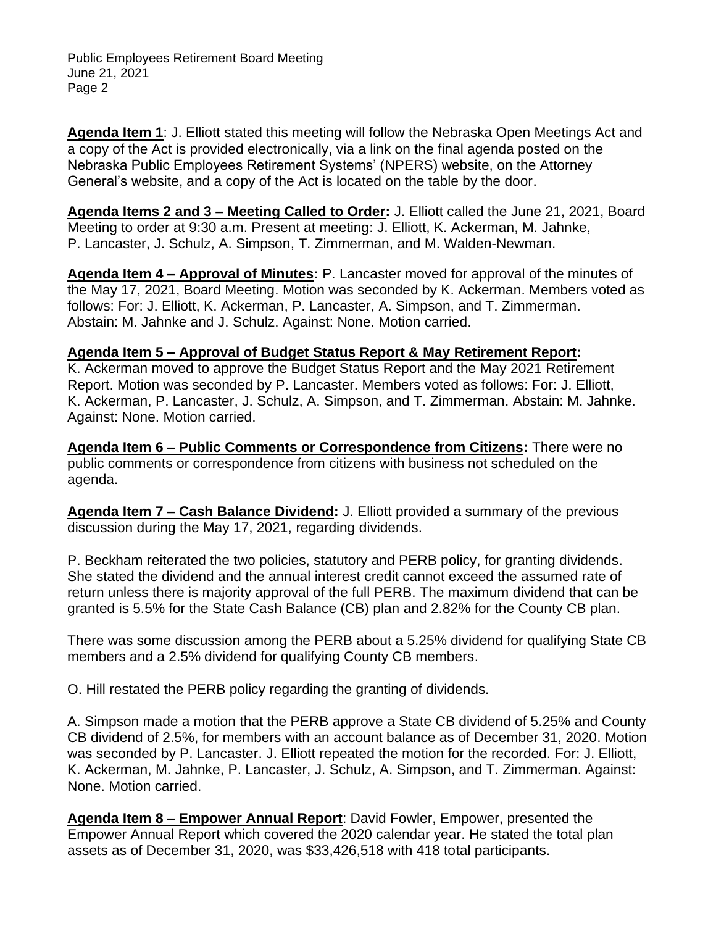**Agenda Item 1**: J. Elliott stated this meeting will follow the Nebraska Open Meetings Act and a copy of the Act is provided electronically, via a link on the final agenda posted on the Nebraska Public Employees Retirement Systems' (NPERS) website, on the Attorney General's website, and a copy of the Act is located on the table by the door.

**Agenda Items 2 and 3 – Meeting Called to Order:** J. Elliott called the June 21, 2021, Board Meeting to order at 9:30 a.m. Present at meeting: J. Elliott, K. Ackerman, M. Jahnke, P. Lancaster, J. Schulz, A. Simpson, T. Zimmerman, and M. Walden-Newman.

**Agenda Item 4 – Approval of Minutes:** P. Lancaster moved for approval of the minutes of the May 17, 2021, Board Meeting. Motion was seconded by K. Ackerman. Members voted as follows: For: J. Elliott, K. Ackerman, P. Lancaster, A. Simpson, and T. Zimmerman. Abstain: M. Jahnke and J. Schulz. Against: None. Motion carried.

## **Agenda Item 5 – Approval of Budget Status Report & May Retirement Report:**

K. Ackerman moved to approve the Budget Status Report and the May 2021 Retirement Report. Motion was seconded by P. Lancaster. Members voted as follows: For: J. Elliott, K. Ackerman, P. Lancaster, J. Schulz, A. Simpson, and T. Zimmerman. Abstain: M. Jahnke. Against: None. Motion carried.

**Agenda Item 6 – Public Comments or Correspondence from Citizens:** There were no public comments or correspondence from citizens with business not scheduled on the agenda.

**Agenda Item 7 – Cash Balance Dividend:** J. Elliott provided a summary of the previous discussion during the May 17, 2021, regarding dividends.

P. Beckham reiterated the two policies, statutory and PERB policy, for granting dividends. She stated the dividend and the annual interest credit cannot exceed the assumed rate of return unless there is majority approval of the full PERB. The maximum dividend that can be granted is 5.5% for the State Cash Balance (CB) plan and 2.82% for the County CB plan.

There was some discussion among the PERB about a 5.25% dividend for qualifying State CB members and a 2.5% dividend for qualifying County CB members.

O. Hill restated the PERB policy regarding the granting of dividends.

A. Simpson made a motion that the PERB approve a State CB dividend of 5.25% and County CB dividend of 2.5%, for members with an account balance as of December 31, 2020. Motion was seconded by P. Lancaster. J. Elliott repeated the motion for the recorded. For: J. Elliott, K. Ackerman, M. Jahnke, P. Lancaster, J. Schulz, A. Simpson, and T. Zimmerman. Against: None. Motion carried.

**Agenda Item 8 – Empower Annual Report**: David Fowler, Empower, presented the Empower Annual Report which covered the 2020 calendar year. He stated the total plan assets as of December 31, 2020, was \$33,426,518 with 418 total participants.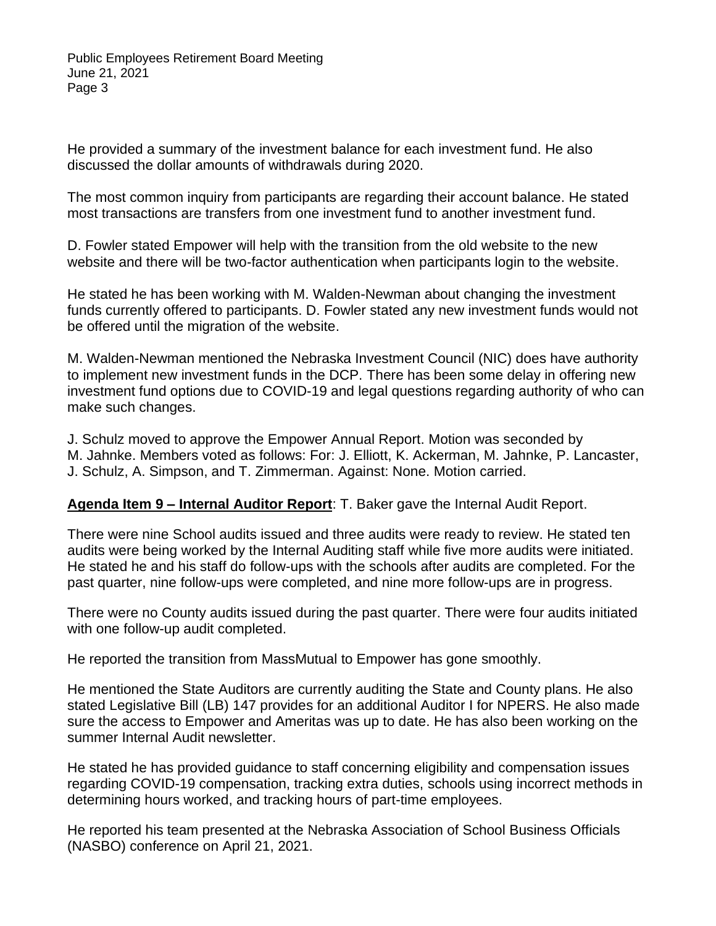He provided a summary of the investment balance for each investment fund. He also discussed the dollar amounts of withdrawals during 2020.

The most common inquiry from participants are regarding their account balance. He stated most transactions are transfers from one investment fund to another investment fund.

D. Fowler stated Empower will help with the transition from the old website to the new website and there will be two-factor authentication when participants login to the website.

He stated he has been working with M. Walden-Newman about changing the investment funds currently offered to participants. D. Fowler stated any new investment funds would not be offered until the migration of the website.

M. Walden-Newman mentioned the Nebraska Investment Council (NIC) does have authority to implement new investment funds in the DCP. There has been some delay in offering new investment fund options due to COVID-19 and legal questions regarding authority of who can make such changes.

J. Schulz moved to approve the Empower Annual Report. Motion was seconded by M. Jahnke. Members voted as follows: For: J. Elliott, K. Ackerman, M. Jahnke, P. Lancaster, J. Schulz, A. Simpson, and T. Zimmerman. Against: None. Motion carried.

## **Agenda Item 9 – Internal Auditor Report**: T. Baker gave the Internal Audit Report.

There were nine School audits issued and three audits were ready to review. He stated ten audits were being worked by the Internal Auditing staff while five more audits were initiated. He stated he and his staff do follow-ups with the schools after audits are completed. For the past quarter, nine follow-ups were completed, and nine more follow-ups are in progress.

There were no County audits issued during the past quarter. There were four audits initiated with one follow-up audit completed.

He reported the transition from MassMutual to Empower has gone smoothly.

He mentioned the State Auditors are currently auditing the State and County plans. He also stated Legislative Bill (LB) 147 provides for an additional Auditor I for NPERS. He also made sure the access to Empower and Ameritas was up to date. He has also been working on the summer Internal Audit newsletter.

He stated he has provided guidance to staff concerning eligibility and compensation issues regarding COVID-19 compensation, tracking extra duties, schools using incorrect methods in determining hours worked, and tracking hours of part-time employees.

He reported his team presented at the Nebraska Association of School Business Officials (NASBO) conference on April 21, 2021.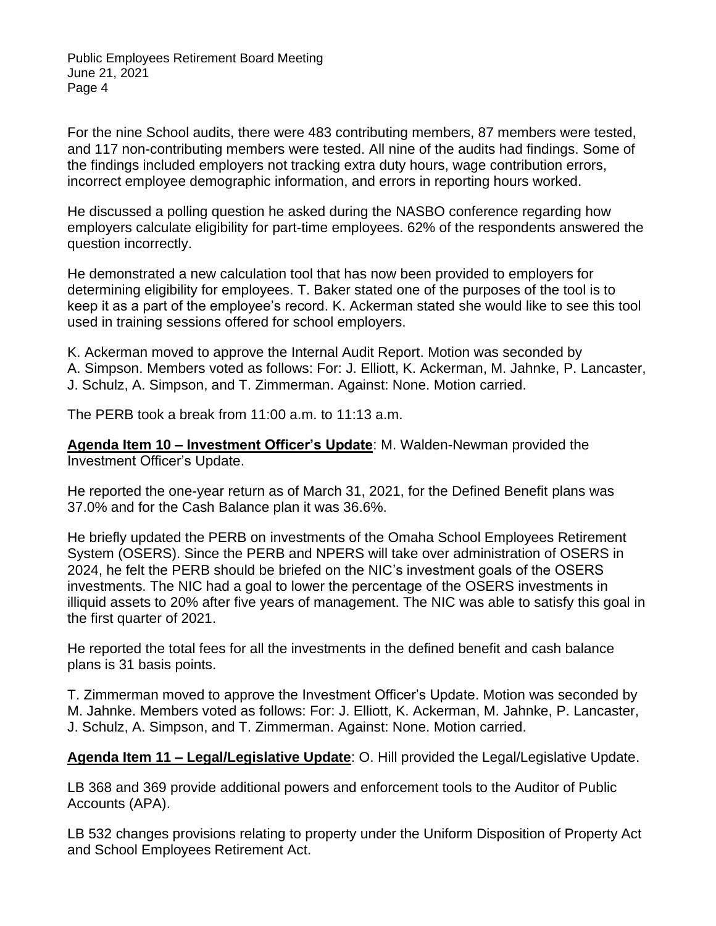For the nine School audits, there were 483 contributing members, 87 members were tested, and 117 non-contributing members were tested. All nine of the audits had findings. Some of the findings included employers not tracking extra duty hours, wage contribution errors, incorrect employee demographic information, and errors in reporting hours worked.

He discussed a polling question he asked during the NASBO conference regarding how employers calculate eligibility for part-time employees. 62% of the respondents answered the question incorrectly.

He demonstrated a new calculation tool that has now been provided to employers for determining eligibility for employees. T. Baker stated one of the purposes of the tool is to keep it as a part of the employee's record. K. Ackerman stated she would like to see this tool used in training sessions offered for school employers.

K. Ackerman moved to approve the Internal Audit Report. Motion was seconded by A. Simpson. Members voted as follows: For: J. Elliott, K. Ackerman, M. Jahnke, P. Lancaster, J. Schulz, A. Simpson, and T. Zimmerman. Against: None. Motion carried.

The PERB took a break from 11:00 a.m. to 11:13 a.m.

**Agenda Item 10 – Investment Officer's Update**: M. Walden-Newman provided the Investment Officer's Update.

He reported the one-year return as of March 31, 2021, for the Defined Benefit plans was 37.0% and for the Cash Balance plan it was 36.6%.

He briefly updated the PERB on investments of the Omaha School Employees Retirement System (OSERS). Since the PERB and NPERS will take over administration of OSERS in 2024, he felt the PERB should be briefed on the NIC's investment goals of the OSERS investments. The NIC had a goal to lower the percentage of the OSERS investments in illiquid assets to 20% after five years of management. The NIC was able to satisfy this goal in the first quarter of 2021.

He reported the total fees for all the investments in the defined benefit and cash balance plans is 31 basis points.

T. Zimmerman moved to approve the Investment Officer's Update. Motion was seconded by M. Jahnke. Members voted as follows: For: J. Elliott, K. Ackerman, M. Jahnke, P. Lancaster, J. Schulz, A. Simpson, and T. Zimmerman. Against: None. Motion carried.

**Agenda Item 11 – Legal/Legislative Update**: O. Hill provided the Legal/Legislative Update.

LB 368 and 369 provide additional powers and enforcement tools to the Auditor of Public Accounts (APA).

LB 532 changes provisions relating to property under the Uniform Disposition of Property Act and School Employees Retirement Act.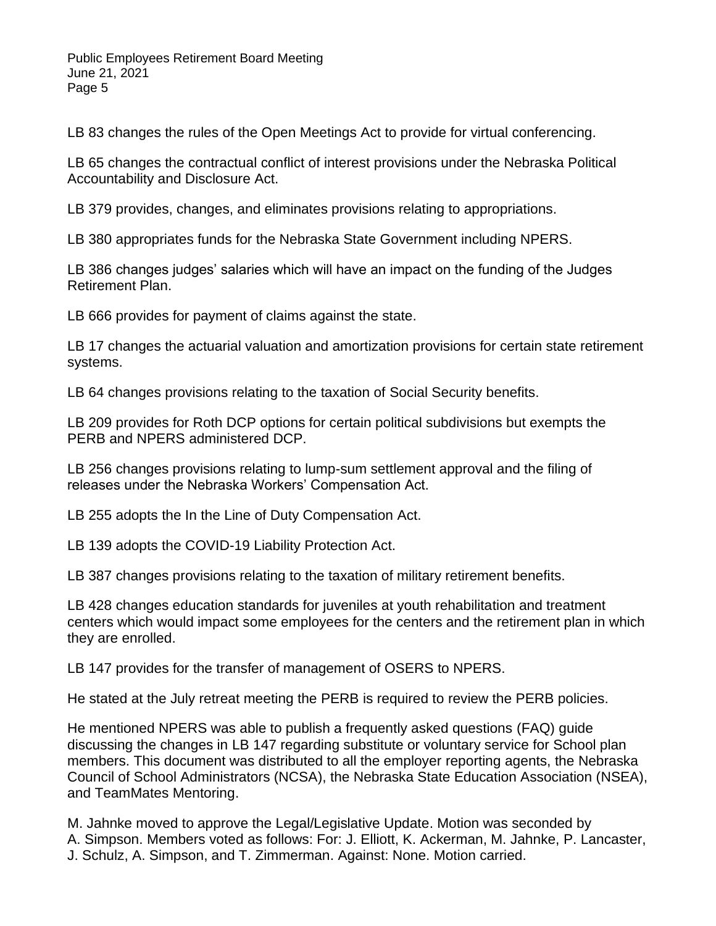LB 83 changes the rules of the Open Meetings Act to provide for virtual conferencing.

LB 65 changes the contractual conflict of interest provisions under the Nebraska Political Accountability and Disclosure Act.

LB 379 provides, changes, and eliminates provisions relating to appropriations.

LB 380 appropriates funds for the Nebraska State Government including NPERS.

LB 386 changes judges' salaries which will have an impact on the funding of the Judges Retirement Plan.

LB 666 provides for payment of claims against the state.

LB 17 changes the actuarial valuation and amortization provisions for certain state retirement systems.

LB 64 changes provisions relating to the taxation of Social Security benefits.

LB 209 provides for Roth DCP options for certain political subdivisions but exempts the PERB and NPERS administered DCP.

LB 256 changes provisions relating to lump-sum settlement approval and the filing of releases under the Nebraska Workers' Compensation Act.

LB 255 adopts the In the Line of Duty Compensation Act.

LB 139 adopts the COVID-19 Liability Protection Act.

LB 387 changes provisions relating to the taxation of military retirement benefits.

LB 428 changes education standards for juveniles at youth rehabilitation and treatment centers which would impact some employees for the centers and the retirement plan in which they are enrolled.

LB 147 provides for the transfer of management of OSERS to NPERS.

He stated at the July retreat meeting the PERB is required to review the PERB policies.

He mentioned NPERS was able to publish a frequently asked questions (FAQ) guide discussing the changes in LB 147 regarding substitute or voluntary service for School plan members. This document was distributed to all the employer reporting agents, the Nebraska Council of School Administrators (NCSA), the Nebraska State Education Association (NSEA), and TeamMates Mentoring.

M. Jahnke moved to approve the Legal/Legislative Update. Motion was seconded by A. Simpson. Members voted as follows: For: J. Elliott, K. Ackerman, M. Jahnke, P. Lancaster, J. Schulz, A. Simpson, and T. Zimmerman. Against: None. Motion carried.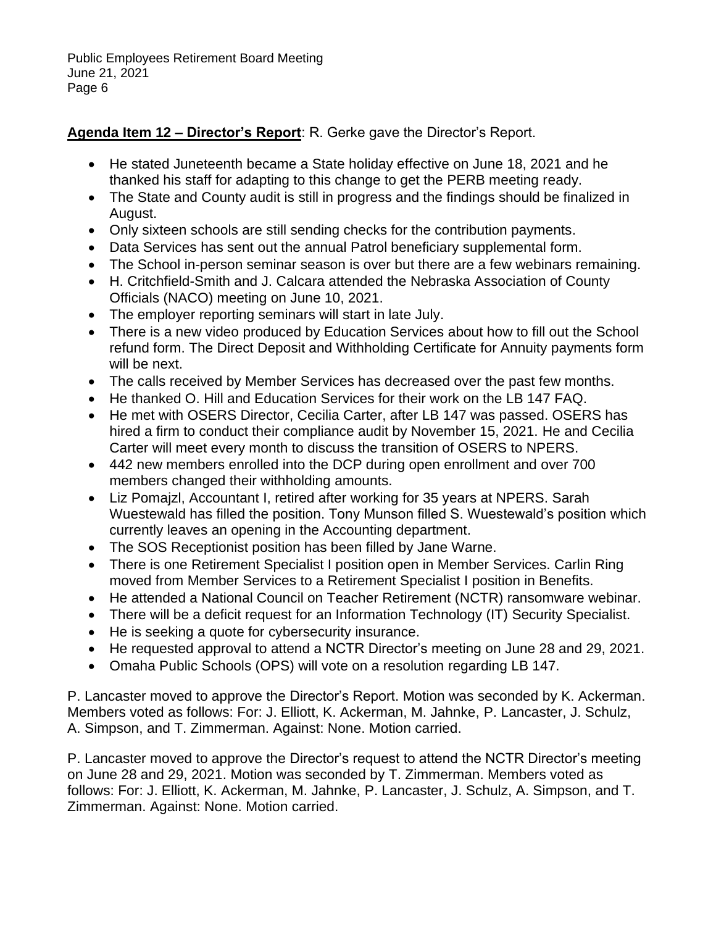# **Agenda Item 12 – Director's Report**: R. Gerke gave the Director's Report.

- He stated Juneteenth became a State holiday effective on June 18, 2021 and he thanked his staff for adapting to this change to get the PERB meeting ready.
- The State and County audit is still in progress and the findings should be finalized in August.
- Only sixteen schools are still sending checks for the contribution payments.
- Data Services has sent out the annual Patrol beneficiary supplemental form.
- The School in-person seminar season is over but there are a few webinars remaining.
- H. Critchfield-Smith and J. Calcara attended the Nebraska Association of County Officials (NACO) meeting on June 10, 2021.
- The employer reporting seminars will start in late July.
- There is a new video produced by Education Services about how to fill out the School refund form. The Direct Deposit and Withholding Certificate for Annuity payments form will be next.
- The calls received by Member Services has decreased over the past few months.
- He thanked O. Hill and Education Services for their work on the LB 147 FAQ.
- He met with OSERS Director, Cecilia Carter, after LB 147 was passed. OSERS has hired a firm to conduct their compliance audit by November 15, 2021. He and Cecilia Carter will meet every month to discuss the transition of OSERS to NPERS.
- 442 new members enrolled into the DCP during open enrollment and over 700 members changed their withholding amounts.
- Liz Pomajzl, Accountant I, retired after working for 35 years at NPERS. Sarah Wuestewald has filled the position. Tony Munson filled S. Wuestewald's position which currently leaves an opening in the Accounting department.
- The SOS Receptionist position has been filled by Jane Warne.
- There is one Retirement Specialist I position open in Member Services. Carlin Ring moved from Member Services to a Retirement Specialist I position in Benefits.
- He attended a National Council on Teacher Retirement (NCTR) ransomware webinar.
- There will be a deficit request for an Information Technology (IT) Security Specialist.
- He is seeking a quote for cybersecurity insurance.
- He requested approval to attend a NCTR Director's meeting on June 28 and 29, 2021.
- Omaha Public Schools (OPS) will vote on a resolution regarding LB 147.

P. Lancaster moved to approve the Director's Report. Motion was seconded by K. Ackerman. Members voted as follows: For: J. Elliott, K. Ackerman, M. Jahnke, P. Lancaster, J. Schulz, A. Simpson, and T. Zimmerman. Against: None. Motion carried.

P. Lancaster moved to approve the Director's request to attend the NCTR Director's meeting on June 28 and 29, 2021. Motion was seconded by T. Zimmerman. Members voted as follows: For: J. Elliott, K. Ackerman, M. Jahnke, P. Lancaster, J. Schulz, A. Simpson, and T. Zimmerman. Against: None. Motion carried.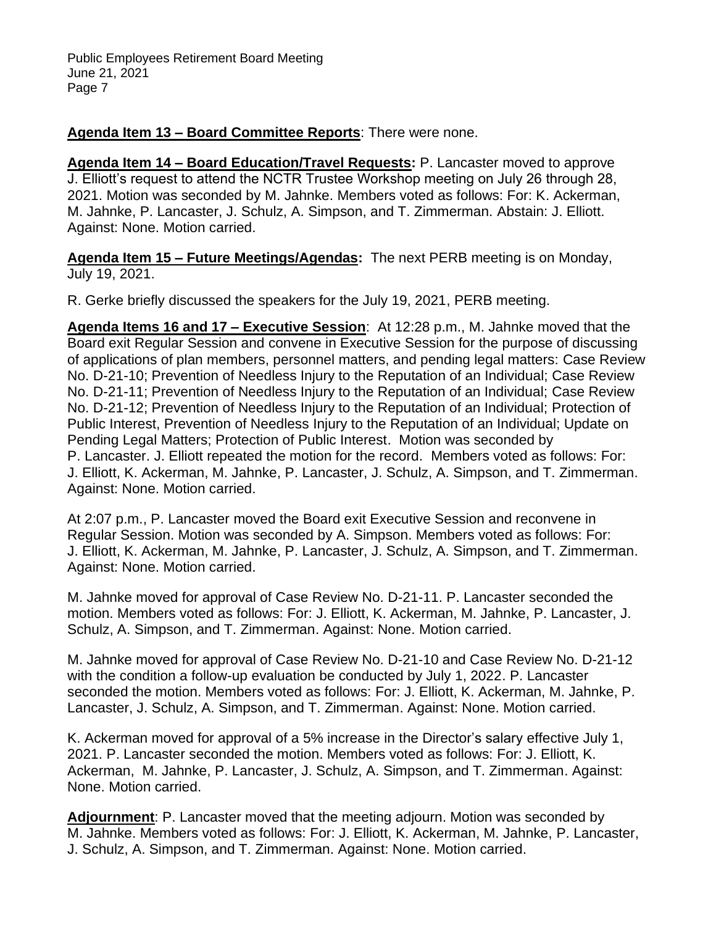## **Agenda Item 13 – Board Committee Reports**: There were none.

**Agenda Item 14 – Board Education/Travel Requests:** P. Lancaster moved to approve J. Elliott's request to attend the NCTR Trustee Workshop meeting on July 26 through 28, 2021. Motion was seconded by M. Jahnke. Members voted as follows: For: K. Ackerman, M. Jahnke, P. Lancaster, J. Schulz, A. Simpson, and T. Zimmerman. Abstain: J. Elliott. Against: None. Motion carried.

**Agenda Item 15 – Future Meetings/Agendas:** The next PERB meeting is on Monday, July 19, 2021.

R. Gerke briefly discussed the speakers for the July 19, 2021, PERB meeting.

**Agenda Items 16 and 17 – Executive Session**: At 12:28 p.m., M. Jahnke moved that the Board exit Regular Session and convene in Executive Session for the purpose of discussing of applications of plan members, personnel matters, and pending legal matters: Case Review No. D-21-10; Prevention of Needless Injury to the Reputation of an Individual; Case Review No. D-21-11; Prevention of Needless Injury to the Reputation of an Individual; Case Review No. D-21-12; Prevention of Needless Injury to the Reputation of an Individual; Protection of Public Interest, Prevention of Needless Injury to the Reputation of an Individual; Update on Pending Legal Matters; Protection of Public Interest. Motion was seconded by P. Lancaster. J. Elliott repeated the motion for the record. Members voted as follows: For: J. Elliott, K. Ackerman, M. Jahnke, P. Lancaster, J. Schulz, A. Simpson, and T. Zimmerman. Against: None. Motion carried.

At 2:07 p.m., P. Lancaster moved the Board exit Executive Session and reconvene in Regular Session. Motion was seconded by A. Simpson. Members voted as follows: For: J. Elliott, K. Ackerman, M. Jahnke, P. Lancaster, J. Schulz, A. Simpson, and T. Zimmerman. Against: None. Motion carried.

M. Jahnke moved for approval of Case Review No. D-21-11. P. Lancaster seconded the motion. Members voted as follows: For: J. Elliott, K. Ackerman, M. Jahnke, P. Lancaster, J. Schulz, A. Simpson, and T. Zimmerman. Against: None. Motion carried.

M. Jahnke moved for approval of Case Review No. D-21-10 and Case Review No. D-21-12 with the condition a follow-up evaluation be conducted by July 1, 2022. P. Lancaster seconded the motion. Members voted as follows: For: J. Elliott, K. Ackerman, M. Jahnke, P. Lancaster, J. Schulz, A. Simpson, and T. Zimmerman. Against: None. Motion carried.

K. Ackerman moved for approval of a 5% increase in the Director's salary effective July 1, 2021. P. Lancaster seconded the motion. Members voted as follows: For: J. Elliott, K. Ackerman, M. Jahnke, P. Lancaster, J. Schulz, A. Simpson, and T. Zimmerman. Against: None. Motion carried.

**Adjournment**: P. Lancaster moved that the meeting adjourn. Motion was seconded by M. Jahnke. Members voted as follows: For: J. Elliott, K. Ackerman, M. Jahnke, P. Lancaster, J. Schulz, A. Simpson, and T. Zimmerman. Against: None. Motion carried.